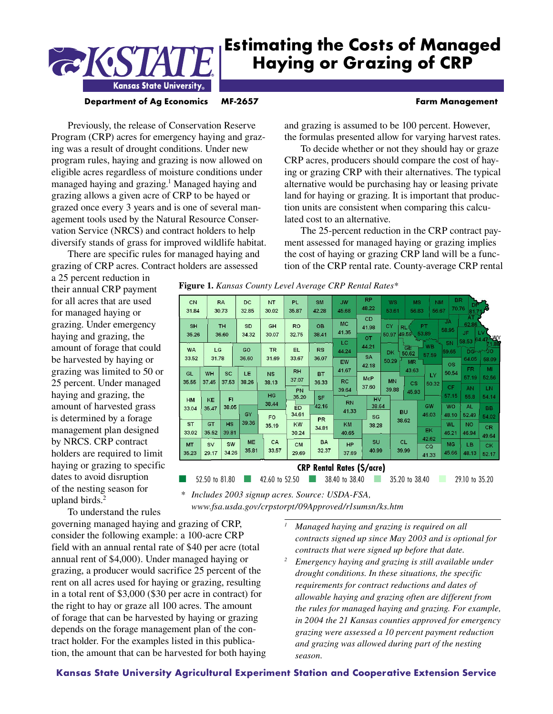# **Estimating the Costs of Managed Haying or Grazing of CRP**



#### **Department of Ag Economics MF-2657 Farm Management**

Previously, the release of Conservation Reserve Program (CRP) acres for emergency haying and grazing was a result of drought conditions. Under new program rules, haying and grazing is now allowed on eligible acres regardless of moisture conditions under managed haying and grazing.<sup>1</sup> Managed haying and grazing allows a given acre of CRP to be hayed or grazed once every 3 years and is one of several management tools used by the Natural Resource Conservation Service (NRCS) and contract holders to help diversify stands of grass for improved wildlife habitat.

There are specific rules for managed haying and grazing of CRP acres. Contract holders are assessed

and grazing is assumed to be 100 percent. However, the formulas presented allow for varying harvest rates.

To decide whether or not they should hay or graze CRP acres, producers should compare the cost of haying or grazing CRP with their alternatives. The typical alternative would be purchasing hay or leasing private land for haying or grazing. It is important that production units are consistent when comparing this calculated cost to an alternative.

The 25-percent reduction in the CRP contract payment assessed for managed haying or grazing implies the cost of haying or grazing CRP land will be a function of the CRP rental rate. County-average CRP rental

a 25 percent reduction in their annual CRP payment for all acres that are used for managed haying or grazing. Under emergency haying and grazing, the amount of forage that could be harvested by haying or grazing was limited to 50 or 25 percent. Under managed haying and grazing, the amount of harvested grass is determined by a forage management plan designed by NRCS. CRP contract holders are required to limit haying or grazing to specific dates to avoid disruption of the nesting season for upland birds.<sup>2</sup>

| CN<br>31.84        |                    | <b>RA</b><br>30.73 | DC<br>32.85        | <b>NT</b><br>30.02      | <b>PL</b><br>35.87       | <b>SM</b><br>42.28 | <b>JW</b><br>45.68                | <b>RP</b><br>48.22          | WS<br>53.61        | <b>MS</b><br>56.83                |                    | <b>NM</b><br>56.67          | <b>BR</b><br>70.76 | 81.71<br><b>AT</b>   |                             |
|--------------------|--------------------|--------------------|--------------------|-------------------------|--------------------------|--------------------|-----------------------------------|-----------------------------|--------------------|-----------------------------------|--------------------|-----------------------------|--------------------|----------------------|-----------------------------|
| <b>SH</b><br>35.26 |                    | <b>TH</b><br>36.60 | SD<br>34.32        | <b>GH</b><br>30.07      | <b>RO</b><br>32.75       | <b>OB</b><br>38.41 | <b>MC</b><br>41.35                | CD<br>41.98<br><b>OT</b>    | CY<br>50.97        | <b>RL</b><br>49.59 53.89          | <b>PT</b>          | <b>JA</b><br>58.95          | JF.<br>58.53       | 62.86                | ۱W<br>64.47                 |
| <b>WA</b><br>33.52 | LC<br>31.78        |                    | GO<br>36.60        | <b>TR</b><br>31.69      | EL.<br>33.67             | RS<br>36.07        | <b>LC</b><br>44.24<br>EW          | 44.21<br><b>SA</b><br>42.18 | DK<br>50.29        | GE<br>50.62<br><b>MR</b>          | <b>WB</b><br>57.59 | SN<br>59.65<br><b>OS</b>    |                    | 64.05                | <b>DGLAND</b><br>58.09      |
| <b>GL</b><br>35.55 | <b>WH</b><br>37.45 | <b>SC</b><br>37.53 | LE<br>38.26        | <b>NS</b><br>38.13      | <b>RH</b><br>37.07<br>PN | <b>BT</b><br>36.33 | 41.67<br><b>RC</b><br>39.64       | <b>McP</b><br>37.60         | <b>MN</b><br>39.88 | 43.63<br>$\mathsf{CS}\phantom{0}$ | LY<br>50.32        | 50.54<br>CF                 |                    | FR.<br>57.19<br>AN   | MI<br>52.56<br>LN.          |
| <b>HM</b><br>33.04 | KE<br>35.47        | FI<br>38.05        | <b>GY</b>          | HC<br>38.44             | 35.20<br>ED<br>34.61     | <b>SF</b><br>42.16 | <b>RN</b><br>41.33                | HV<br>38.64                 |                    | 45.93<br><b>BU</b>                | GW<br>46.03        | 57.15<br><b>WO</b><br>48.10 |                    | 55.8<br>AL.<br>52.49 | 54.14<br><b>BB</b><br>54.02 |
| <b>ST</b><br>33.02 | <b>GT</b><br>35.52 | HS<br>39.81        | 39.36              | F <sub>O</sub><br>35.19 | <b>KW</b><br>30.24       | <b>PR</b><br>34.81 | KM<br>40.65                       | SG<br>38.28                 |                    | 38.62                             | <b>EK</b><br>42.62 | <b>WL</b><br>46.21          |                    | <b>NO</b><br>46.94   | CR.<br>49.64                |
| <b>MT</b><br>35.23 | <b>SV</b><br>29.17 | SW<br>34.26        | <b>ME</b><br>35.81 | CA<br>33.57             | <b>CM</b><br>29.69       | <b>BA</b><br>32.37 | HP<br>37.69                       | SU<br>40.99                 |                    | <b>CL</b><br>39.99                | CQ<br>41.33        | <b>MG</b><br>45.66          |                    | LB<br>48.13          | <b>CK</b><br>52.17          |
|                    |                    |                    |                    |                         |                          |                    | <b>CRP Rental Rates (\$/acre)</b> |                             |                    |                                   |                    |                             |                    |                      |                             |

■ 52.50 to 81.80 ■ 42.60 to 52.50 ■ 38.40 to 38.40 ■ 35.20 to 38.40 ■ 29.10 to 35.20

**Figure 1.** *Kansas County Level Average CRP Rental Rates\**

*\* Includes 2003 signup acres. Source: USDA-FSA,* 

*www.fsa.usda.gov/crpstorpt/09Approved/r1sumsn/ks.htm*

To understand the rules governing managed haying and grazing of CRP, consider the following example: a 100-acre CRP field with an annual rental rate of \$40 per acre (total annual rent of \$4,000). Under managed haying or grazing, a producer would sacrifice 25 percent of the rent on all acres used for haying or grazing, resulting in a total rent of \$3,000 (\$30 per acre in contract) for the right to hay or graze all 100 acres. The amount of forage that can be harvested by haying or grazing depends on the forage management plan of the contract holder. For the examples listed in this publication, the amount that can be harvested for both haying

- *1 Managed haying and grazing is required on all contracts signed up since May 2003 and is optional for contracts that were signed up before that date.*
- *2 Emergency haying and grazing is still available under drought conditions. In these situations, the specific requirements for contract reductions and dates of allowable haying and grazing often are different from the rules for managed haying and grazing. For example, in 2004 the 21 Kansas counties approved for emergency grazing were assessed a 10 percent payment reduction and grazing was allowed during part of the nesting season.*

#### **Kansas State University Agricultural Experiment Station and Cooperative Extension Service**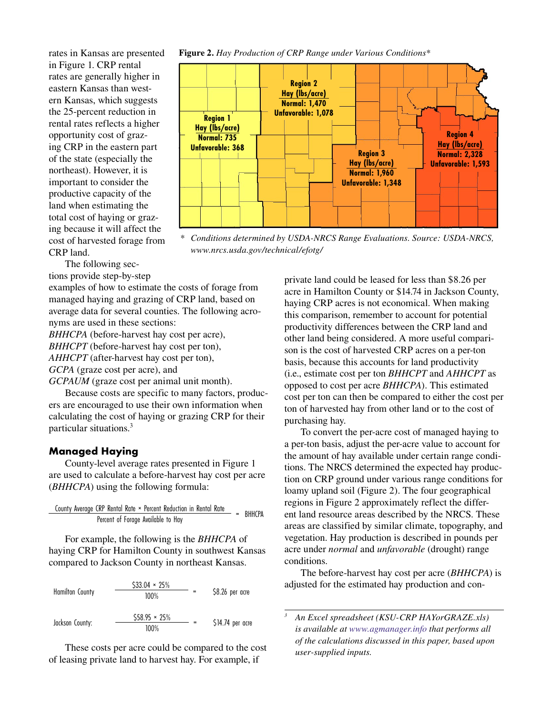rates in Kansas are presented in Figure 1. CRP rental rates are generally higher in eastern Kansas than western Kansas, which suggests the 25-percent reduction in rental rates reflects a higher opportunity cost of grazing CRP in the eastern part of the state (especially the northeast). However, it is important to consider the productive capacity of the land when estimating the total cost of haying or grazing because it will affect the cost of harvested forage from CRP land.

The following sec-

tions provide step-by-step

examples of how to estimate the costs of forage from managed haying and grazing of CRP land, based on average data for several counties. The following acronyms are used in these sections:

*BHHCPA* (before-harvest hay cost per acre), *BHHCPT* (before-harvest hay cost per ton), *AHHCPT* (after-harvest hay cost per ton),

*GCPA* (graze cost per acre), and

*GCPAUM* (graze cost per animal unit month).

Because costs are specific to many factors, producers are encouraged to use their own information when calculating the cost of haying or grazing CRP for their particular situations.3

### **Managed Haying**

County-level average rates presented in Figure 1 are used to calculate a before-harvest hay cost per acre (*BHHCPA*) using the following formula:

County Average CRP Rental Rate × Percent Reduction in Rental Rate = BHHCPA Percent of Forage Available to Hay

For example, the following is the *BHHCPA* of haying CRP for Hamilton County in southwest Kansas compared to Jackson County in northeast Kansas.



These costs per acre could be compared to the cost of leasing private land to harvest hay. For example, if

#### **Figure 2.** *Hay Production of CRP Range under Various Conditions\**



*\* Conditions determined by USDA-NRCS Range Evaluations. Source: USDA-NRCS, www.nrcs.usda.gov/technical/efotg/*

private land could be leased for less than \$8.26 per acre in Hamilton County or \$14.74 in Jackson County, haying CRP acres is not economical. When making this comparison, remember to account for potential productivity differences between the CRP land and other land being considered. A more useful comparison is the cost of harvested CRP acres on a per-ton basis, because this accounts for land productivity (i.e., estimate cost per ton *BHHCPT* and *AHHCPT* as opposed to cost per acre *BHHCPA*). This estimated cost per ton can then be compared to either the cost per ton of harvested hay from other land or to the cost of purchasing hay.

To convert the per-acre cost of managed haying to a per-ton basis, adjust the per-acre value to account for the amount of hay available under certain range conditions. The NRCS determined the expected hay production on CRP ground under various range conditions for loamy upland soil (Figure 2). The four geographical regions in Figure 2 approximately reflect the different land resource areas described by the NRCS. These areas are classified by similar climate, topography, and vegetation. Hay production is described in pounds per acre under *normal* and *unfavorable* (drought) range conditions.

The before-harvest hay cost per acre (*BHHCPA*) is adjusted for the estimated hay production and con-

 *An Excel spreadsheet (KSU-CRP HAYorGRAZE.xls) is available at [www.agmanager.info](http://www.agmanager.info/crops/prodecon/production/default.asp#Decision-Making%20Tools:) that performs all of the calculations discussed in this paper, based upon user-supplied inputs.*

*3*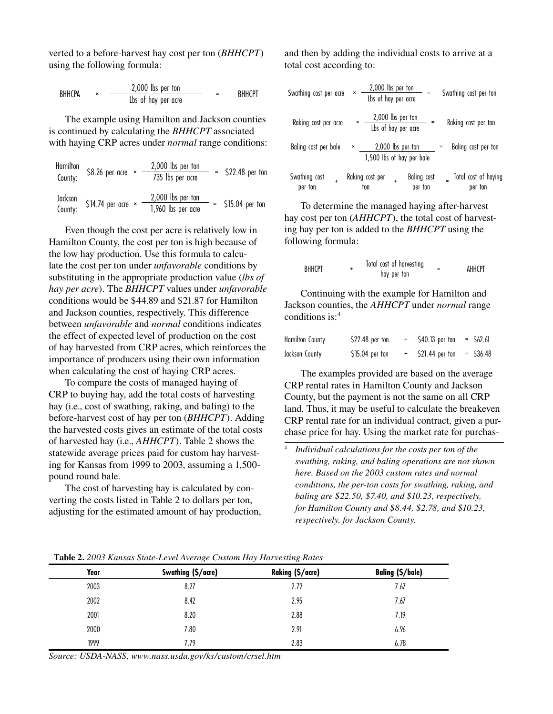verted to a before-harvest hay cost per ton (*BHHCPT*) using the following formula:

$$
BHHCPA \qquad \times \qquad \qquad \frac{2,000 \text{ lbs per ton}}{\text{Lbs of hay per acre}} \qquad \qquad = \qquad \text{BHHCPT}
$$

The example using Hamilton and Jackson counties is continued by calculating the *BHHCPT* associated with haying CRP acres under *normal* range conditions:

Hamilton  
\nCountry: 
$$
$8.26
$$
 per acre  $\times$   $\frac{2,000 \text{ lbs per ton}}{735 \text{ lbs per acre}}$   $=$   $$22.48$  per ton  
\nJackson  
\nGounty:  $$14.74$  per acre  $\times$   $\frac{2,000 \text{ lbs per ton}}{1,960 \text{ lbs per acre}}$   $=$   $$15.04$  per ton

Even though the cost per acre is relatively low in Hamilton County, the cost per ton is high because of the low hay production. Use this formula to calculate the cost per ton under *unfavorable* conditions by substituting in the appropriate production value (*lbs of hay per acre*). The *BHHCPT* values under *unfavorable*  conditions would be \$44.89 and \$21.87 for Hamilton and Jackson counties, respectively. This difference between *unfavorable* and *normal* conditions indicates the effect of expected level of production on the cost of hay harvested from CRP acres, which reinforces the importance of producers using their own information when calculating the cost of haying CRP acres.

To compare the costs of managed haying of CRP to buying hay, add the total costs of harvesting hay (i.e., cost of swathing, raking, and baling) to the before-harvest cost of hay per ton (*BHHCPT*). Adding the harvested costs gives an estimate of the total costs of harvested hay (i.e., *AHHCPT*). Table 2 shows the statewide average prices paid for custom hay harvesting for Kansas from 1999 to 2003, assuming a 1,500 pound round bale.

The cost of harvesting hay is calculated by converting the costs listed in Table 2 to dollars per ton, adjusting for the estimated amount of hay production, and then by adding the individual costs to arrive at a total cost according to:

| Swathing cost per acre        | $\pmb{\times}$            | 2,000 lbs per ton<br>Lbs of hay per acre |                   |                               | Swathing cost per ton           |
|-------------------------------|---------------------------|------------------------------------------|-------------------|-------------------------------|---------------------------------|
| Raking cost per acre          | $\boldsymbol{\mathsf{x}}$ | 2,000 lbs per ton<br>Lbs of hay per acre |                   |                               | Raking cost per ton             |
| Baling cost per bale          | ×                         | 1,500 lbs of hay per bale                | 2,000 lbs per ton |                               | Baling cost per ton             |
| Swathing cost<br>÷<br>per ton |                           | Raking cost per<br>ton                   | ÷                 | <b>Baling cost</b><br>per ton | Total cost of haying<br>per ton |

To determine the managed haying after-harvest hay cost per ton (*AHHCPT*), the total cost of harvesting hay per ton is added to the *BHHCPT* using the following formula:

| BHHCPT |  | Total cost of harvesting<br>hay per ton |  | AHHCPT |
|--------|--|-----------------------------------------|--|--------|
|--------|--|-----------------------------------------|--|--------|

Continuing with the example for Hamilton and Jackson counties, the *AHHCPT* under *normal* range conditions is:4

| <b>Hamilton County</b> | \$22.48 per ton  | \$40.13 per ton | $=$ 562.61 |
|------------------------|------------------|-----------------|------------|
| Jackson County         | $$15.04$ per ton | \$21.44 per ton | - \$36.48  |

The examples provided are based on the average CRP rental rates in Hamilton County and Jackson County, but the payment is not the same on all CRP land. Thus, it may be useful to calculate the breakeven CRP rental rate for an individual contract, given a purchase price for hay. Using the market rate for purchas-

4  *Individual calculations for the costs per ton of the swathing, raking, and baling operations are not shown here. Based on the 2003 custom rates and normal conditions, the per-ton costs for swathing, raking, and baling are \$22.50, \$7.40, and \$10.23, respectively, for Hamilton County and \$8.44, \$2.78, and \$10.23, respectively, for Jackson County.*

|      | $\tilde{ }$        | $\tilde{\phantom{a}}$<br>$\tilde{\phantom{a}}$ |                         |
|------|--------------------|------------------------------------------------|-------------------------|
| Year | Swathing (\$/acre) | <b>Raking (\$/acre)</b>                        | <b>Baling (\$/bale)</b> |
| 2003 | 8.27               | 2.72                                           | 7.67                    |
| 2002 | 8.42               | 2.95                                           | 7.67                    |
| 2001 | 8.20               | 2.88                                           | 7.19                    |
| 2000 | 7.80               | 2.91                                           | 6.96                    |
| 1999 | 7.79               | 2.83                                           | 6.78                    |

**Table 2.** *2003 Kansas State-Level Average Custom Hay Harvesting Rates*

*Source: USDA-NASS, www.nass.usda.gov/ks/custom/crsel.htm*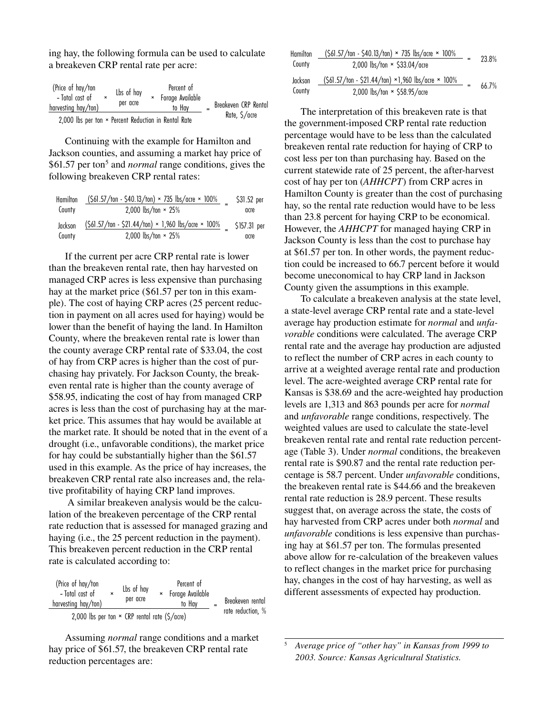ing hay, the following formula can be used to calculate a breakeven CRP rental rate per acre:

| (Price of hay/ton<br>- Total cost of<br>harvesting hay/ton)           |  | Lbs of hay<br>per acre |  | Percent of<br>× Forage Available<br>to Hav |  | Breakeven CRP Rental |  |  |  |
|-----------------------------------------------------------------------|--|------------------------|--|--------------------------------------------|--|----------------------|--|--|--|
| Rate, \$/acre<br>2,000 lbs per ton × Percent Reduction in Rental Rate |  |                        |  |                                            |  |                      |  |  |  |

Continuing with the example for Hamilton and Jackson counties, and assuming a market hay price of \$61.57 per ton<sup>5</sup> and *normal* range conditions, gives the following breakeven CRP rental rates:

| Hamilton | $(S61.57/ton - S40.13/ton) \times 735 \text{ lbs/acre} \times 100\%$ | \$31.52 per  |
|----------|----------------------------------------------------------------------|--------------|
| County   | 2,000 lbs/ton $\times$ 25%                                           | acre         |
| Jackson  | $(S61.57/ton - S21.44/ton) \times 1,960$ lbs/acre $\times$ 100%      | \$157.31 per |
| County   | 2,000 lbs/ton $\times$ 25%                                           | acre         |

If the current per acre CRP rental rate is lower than the breakeven rental rate, then hay harvested on managed CRP acres is less expensive than purchasing hay at the market price (\$61.57 per ton in this example). The cost of haying CRP acres (25 percent reduction in payment on all acres used for haying) would be lower than the benefit of haying the land. In Hamilton County, where the breakeven rental rate is lower than the county average CRP rental rate of \$33.04, the cost of hay from CRP acres is higher than the cost of purchasing hay privately. For Jackson County, the breakeven rental rate is higher than the county average of \$58.95, indicating the cost of hay from managed CRP acres is less than the cost of purchasing hay at the market price. This assumes that hay would be available at the market rate. It should be noted that in the event of a drought (i.e., unfavorable conditions), the market price for hay could be substantially higher than the \$61.57 used in this example. As the price of hay increases, the breakeven CRP rental rate also increases and, the relative profitability of haying CRP land improves.

 A similar breakeven analysis would be the calculation of the breakeven percentage of the CRP rental rate reduction that is assessed for managed grazing and haying (i.e., the 25 percent reduction in the payment). This breakeven percent reduction in the CRP rental rate is calculated according to:

| (Price of hay/ton<br>- Total cost of<br>harvesting hay/ton) | $\boldsymbol{\mathsf{x}}$ | Lbs of hay<br>per acre | $\mathsf{x}$ | Percent of<br>Forage Available<br>to Hav | Breakeven rental  |
|-------------------------------------------------------------|---------------------------|------------------------|--------------|------------------------------------------|-------------------|
| 2,000 lbs per ton $\times$ CRP rental rate (\$/acre)        |                           |                        |              |                                          | rate reduction, % |

Assuming *normal* range conditions and a market hay price of \$61.57, the breakeven CRP rental rate reduction percentages are:

| Hamilton | (\$61.57/ton - \$40.13/ton) × 735 lbs/acre × 100%                      | 23.8% |
|----------|------------------------------------------------------------------------|-------|
| County   | 2,000 $\frac{\text{lbs}}{\text{ton}} \times \frac{533.04}{\text{arc}}$ |       |
| Jackson  | (\$61.57/ton - \$21.44/ton) ×1,960 lbs/acre × 100%                     | 66.7% |
| County   | 2,000 lbs/ton $\times$ \$58.95/acre                                    |       |

The interpretation of this breakeven rate is that the government-imposed CRP rental rate reduction percentage would have to be less than the calculated breakeven rental rate reduction for haying of CRP to cost less per ton than purchasing hay. Based on the current statewide rate of 25 percent, the after-harvest cost of hay per ton (*AHHCPT*) from CRP acres in Hamilton County is greater than the cost of purchasing hay, so the rental rate reduction would have to be less than 23.8 percent for haying CRP to be economical. However, the *AHHCPT* for managed haying CRP in Jackson County is less than the cost to purchase hay at \$61.57 per ton. In other words, the payment reduction could be increased to 66.7 percent before it would become uneconomical to hay CRP land in Jackson County given the assumptions in this example.

To calculate a breakeven analysis at the state level, a state-level average CRP rental rate and a state-level average hay production estimate for *normal* and *unfavorable* conditions were calculated. The average CRP rental rate and the average hay production are adjusted to reflect the number of CRP acres in each county to arrive at a weighted average rental rate and production level. The acre-weighted average CRP rental rate for Kansas is \$38.69 and the acre-weighted hay production levels are 1,313 and 863 pounds per acre for *normal* and *unfavorable* range conditions, respectively. The weighted values are used to calculate the state-level breakeven rental rate and rental rate reduction percentage (Table 3). Under *normal* conditions, the breakeven rental rate is \$90.87 and the rental rate reduction percentage is 58.7 percent. Under *unfavorable* conditions, the breakeven rental rate is \$44.66 and the breakeven rental rate reduction is 28.9 percent. These results suggest that, on average across the state, the costs of hay harvested from CRP acres under both *normal* and *unfavorable* conditions is less expensive than purchasing hay at \$61.57 per ton. The formulas presented above allow for re-calculation of the breakeven values to reflect changes in the market price for purchasing hay, changes in the cost of hay harvesting, as well as different assessments of expected hay production.

<sup>5</sup>  *Average price of "other hay" in Kansas from 1999 to 2003. Source: Kansas Agricultural Statistics.*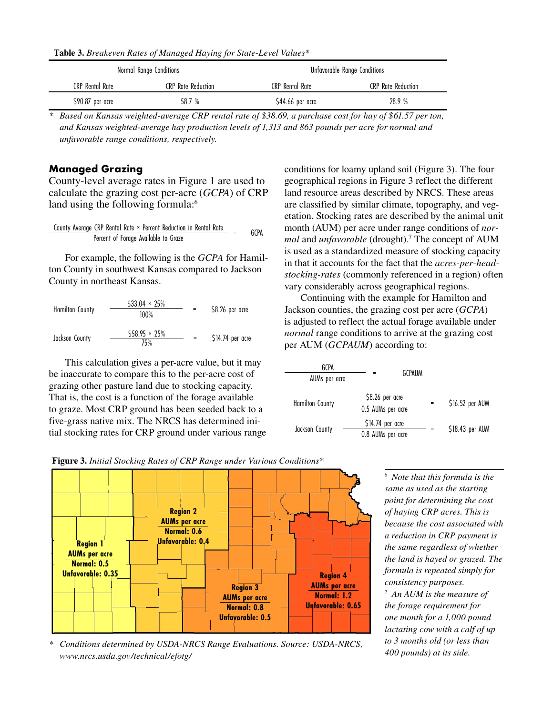**Table 3.** *Breakeven Rates of Managed Haying for State-Level Values\**

|                  | Normal Range Conditions | Unfavorable Range Conditions |                    |  |  |
|------------------|-------------------------|------------------------------|--------------------|--|--|
| CRP Rental Rate  | CRP Rate Reduction      | <b>CRP</b> Rental Rate       | CRP Rate Reduction |  |  |
| \$90.87 per acre | 58.7 %                  | \$44.66 per acre             | 28.9%              |  |  |

*\* Based on Kansas weighted-average CRP rental rate of \$38.69, a purchase cost for hay of \$61.57 per ton, and Kansas weighted-average hay production levels of 1,313 and 863 pounds per acre for normal and unfavorable range conditions, respectively.*

#### **Managed Grazing**

County-level average rates in Figure 1 are used to calculate the grazing cost per-acre (*GCPA*) of CRP land using the following formula:<sup>6</sup>

Country Average CRP Rental Rate × Percent Reduction in Rental Rate = 
$$
GCPA
$$

For example, the following is the *GCPA* for Hamilton County in southwest Kansas compared to Jackson County in northeast Kansas.

| <b>Hamilton County</b> | $$33.04 \times 25\%$<br>100% | \$8.26 per acre  |
|------------------------|------------------------------|------------------|
| Jackson County         | $$58.95 \times 25\%$<br>75%  | \$14.74 per acre |

This calculation gives a per-acre value, but it may be inaccurate to compare this to the per-acre cost of grazing other pasture land due to stocking capacity. That is, the cost is a function of the forage available to graze. Most CRP ground has been seeded back to a five-grass native mix. The NRCS has determined initial stocking rates for CRP ground under various range conditions for loamy upland soil (Figure 3). The four geographical regions in Figure 3 reflect the different land resource areas described by NRCS. These areas are classified by similar climate, topography, and vegetation. Stocking rates are described by the animal unit month (AUM) per acre under range conditions of *normal* and *unfavorable* (drought).7 The concept of AUM is used as a standardized measure of stocking capacity in that it accounts for the fact that the *acres-per-headstocking-rates* (commonly referenced in a region) often vary considerably across geographical regions.

Continuing with the example for Hamilton and Jackson counties, the grazing cost per acre (*GCPA*) is adjusted to reflect the actual forage available under *normal* range conditions to arrive at the grazing cost per AUM (*GCPAUM*) according to:

| GCPA                   | GCPAUM                                 |                 |
|------------------------|----------------------------------------|-----------------|
| AUMs per acre          |                                        |                 |
| <b>Hamilton County</b> | \$8.26 per acre<br>0.5 AUMs per acre   | \$16.52 per AUM |
| Jackson County         | $$14.74$ per acre<br>0.8 AUMs per acre | \$18.43 per AUM |





6  *Note that this formula is the same as used as the starting point for determining the cost of haying CRP acres. This is because the cost associated with a reduction in CRP payment is the same regardless of whether the land is hayed or grazed. The formula is repeated simply for consistency purposes.*

7  *An AUM is the measure of the forage requirement for one month for a 1,000 pound lactating cow with a calf of up to 3 months old (or less than 400 pounds) at its side.*

*\* Conditions determined by USDA-NRCS Range Evaluations. Source: USDA-NRCS, www.nrcs.usda.gov/technical/efotg/*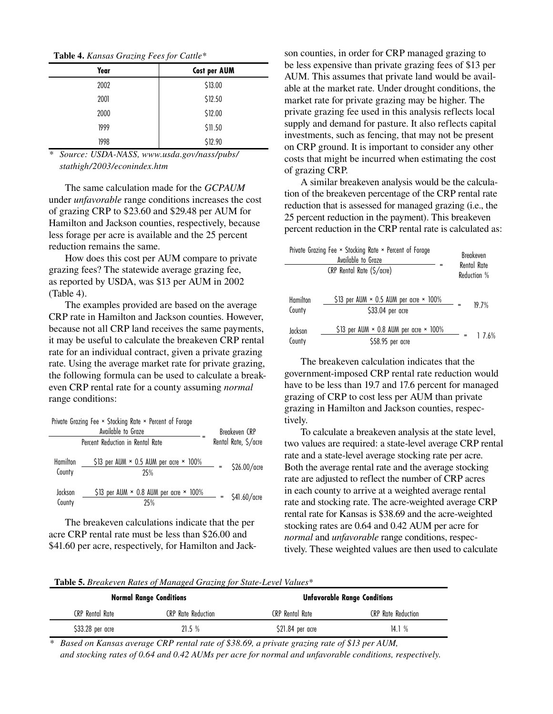**Table 4.** *Kansas Grazing Fees for Cattle\**

| Year | Cost per AUM |
|------|--------------|
| 2002 | \$13.00      |
| 2001 | \$12.50      |
| 2000 | \$12.00      |
| 1999 | \$11.50      |
| 1998 | \$12.90      |

*\* Source: USDA-NASS, www.usda.gov/nass/pubs/ stathigh/2003/econindex.htm*

The same calculation made for the *GCPAUM* under *unfavorable* range conditions increases the cost of grazing CRP to \$23.60 and \$29.48 per AUM for Hamilton and Jackson counties, respectively, because less forage per acre is available and the 25 percent reduction remains the same.

How does this cost per AUM compare to private grazing fees? The statewide average grazing fee, as reported by USDA, was \$13 per AUM in 2002 (Table 4).

The examples provided are based on the average CRP rate in Hamilton and Jackson counties. However, because not all CRP land receives the same payments, it may be useful to calculate the breakeven CRP rental rate for an individual contract, given a private grazing rate. Using the average market rate for private grazing, the following formula can be used to calculate a breakeven CRP rental rate for a county assuming *normal* range conditions:

| Private Grazing Fee × Stocking Rate × Percent of Forage | Breakeven CRP                                               |     |                |
|---------------------------------------------------------|-------------------------------------------------------------|-----|----------------|
|                                                         | Rental Rate, \$/acre                                        |     |                |
| <b>Hamilton</b><br>County                               | \$13 per AUM $\times$ 0.5 AUM per acre $\times$ 100%<br>25% |     | \$26,00/acre   |
| Jackson<br>County                                       | \$13 per AUM $\times$ 0.8 AUM per acre $\times$ 100%<br>25% | $=$ | $$41.60/$ acre |

The breakeven calculations indicate that the per acre CRP rental rate must be less than \$26.00 and \$41.60 per acre, respectively, for Hamilton and Jackson counties, in order for CRP managed grazing to be less expensive than private grazing fees of \$13 per AUM. This assumes that private land would be available at the market rate. Under drought conditions, the market rate for private grazing may be higher. The private grazing fee used in this analysis reflects local supply and demand for pasture. It also reflects capital investments, such as fencing, that may not be present on CRP ground. It is important to consider any other costs that might be incurred when estimating the cost of grazing CRP.

A similar breakeven analysis would be the calculation of the breakeven percentage of the CRP rental rate reduction that is assessed for managed grazing (i.e., the 25 percent reduction in the payment). This breakeven percent reduction in the CRP rental rate is calculated as:

| Private Grazing Fee × Stocking Rate × Percent of Forage | Breakeven<br>Rental Rate<br>Reduction %                                  |       |  |  |
|---------------------------------------------------------|--------------------------------------------------------------------------|-------|--|--|
| Hamilton<br>County                                      | \$13 per AUM $\times$ 0.5 AUM per acre $\times$ 100%<br>\$33.04 per acre | 19.7% |  |  |
| Jackson<br>County                                       | \$13 per AUM $\times$ 0.8 AUM per acre $\times$ 100%<br>\$58.95 per acre | 176%  |  |  |

The breakeven calculation indicates that the government-imposed CRP rental rate reduction would have to be less than 19.7 and 17.6 percent for managed grazing of CRP to cost less per AUM than private grazing in Hamilton and Jackson counties, respectively.

To calculate a breakeven analysis at the state level, two values are required: a state-level average CRP rental rate and a state-level average stocking rate per acre. Both the average rental rate and the average stocking rate are adjusted to reflect the number of CRP acres in each county to arrive at a weighted average rental rate and stocking rate. The acre-weighted average CRP rental rate for Kansas is \$38.69 and the acre-weighted stocking rates are 0.64 and 0.42 AUM per acre for *normal* and *unfavorable* range conditions, respectively. These weighted values are then used to calculate

|  | <b>Table 5.</b> Breakeven Rates of Managed Grazing for State-Level Values* |  |  |
|--|----------------------------------------------------------------------------|--|--|
|--|----------------------------------------------------------------------------|--|--|

|                  | <b>Normal Range Conditions</b> | <b>Unfavorable Range Conditions</b> |                           |  |  |  |  |  |
|------------------|--------------------------------|-------------------------------------|---------------------------|--|--|--|--|--|
| CRP Rental Rate  | CRP Rate Reduction             | <b>CRP</b> Rental Rate              | <b>CRP</b> Rate Reduction |  |  |  |  |  |
| \$33.28 per acre | 21.5%                          | \$21.84 per acre                    | 14.1%                     |  |  |  |  |  |

*\* Based on Kansas average CRP rental rate of \$38.69, a private grazing rate of \$13 per AUM, and stocking rates of 0.64 and 0.42 AUMs per acre for normal and unfavorable conditions, respectively.*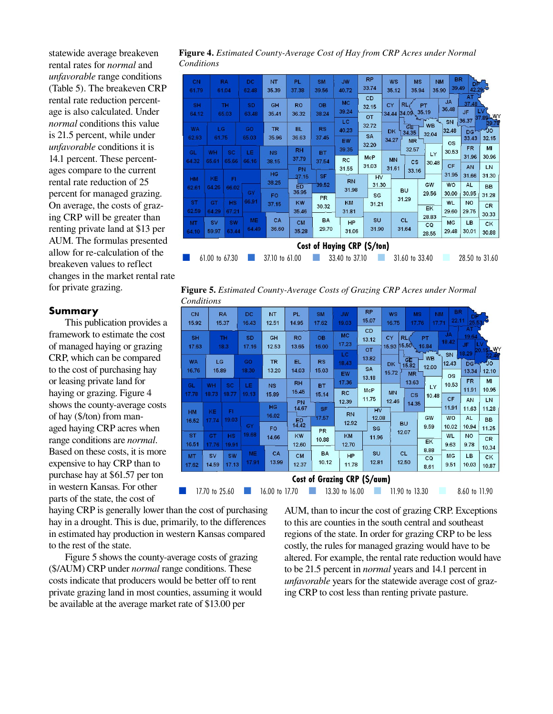statewide average breakeven rental rates for *normal* and *unfavorable* range conditions (Table 5). The breakeven CRP rental rate reduction percentage is also calculated. Under *normal* conditions this value is 21.5 percent, while under *unfavorable* conditions it is 14.1 percent. These percentages compare to the current rental rate reduction of 25 percent for managed grazing. On average, the costs of grazing CRP will be greater than renting private land at \$13 per AUM. The formulas presented allow for re-calculation of the breakeven values to reflect changes in the market rental rate for private grazing.

#### **Summary**

This publication provides a framework to estimate the cost of managed haying or grazing CRP, which can be compared to the cost of purchasing hay or leasing private land for haying or grazing. Figure 4 shows the county-average costs of hay (\$/ton) from managed haying CRP acres when range conditions are *normal*. Based on these costs, it is more expensive to hay CRP than to purchase hay at \$61.57 per ton in western Kansas. For other parts of the state, the cost of

**Figure 4.** *Estimated County-Average Cost of Hay from CRP Acres under Normal Conditions*

| <b>CN</b><br>61.79                                                                                                           |                    | <b>RA</b><br>61.04 | <b>DC</b><br>62.48 | NT<br>35.39        | <b>PL</b><br>37.38       | <b>SM</b><br>39.56 | <b>JW</b><br>40.72          | <b>RP</b><br>33.74<br><b>CD</b> | <b>WS</b><br>35.12 | <b>MS</b><br>35.94       | <b>NM</b><br>35.90   | <b>BR</b><br>39.49          | DP.<br>AT                       | 42.29                 |
|------------------------------------------------------------------------------------------------------------------------------|--------------------|--------------------|--------------------|--------------------|--------------------------|--------------------|-----------------------------|---------------------------------|--------------------|--------------------------|----------------------|-----------------------------|---------------------------------|-----------------------|
| <b>SH</b><br>64.12                                                                                                           |                    | <b>TH</b><br>65.03 | <b>SD</b><br>63.48 | GH<br>35.41        | <b>RO</b><br>36.32       | <b>OB</b><br>38.24 | <b>MC</b><br>39.24<br>LC    | 32.15<br><b>OT</b>              | CY<br>34.44        | <b>RL</b><br>34.09 35.19 | PT                   | <b>JA</b><br>36.48<br>SN    | 37.48<br>JF.<br>36.37           | <b>LV</b><br>37.89 WY |
| <b>WA</b><br>62.93                                                                                                           | LG<br>61.75        |                    | GO<br>65.03        | <b>TR</b><br>35.96 | EL<br>36.63              | <b>RS</b><br>37.45 | 40.23<br>EW                 | 32.72<br><b>SA</b><br>32.20     | <b>DK</b><br>34.27 | čΕ<br>34.35<br><b>MR</b> | <b>WB</b><br>32.04   | 32.48<br><b>OS</b>          | <b>DG</b><br>33.43              | IJО<br>32.15          |
| GL.<br>64.32                                                                                                                 | WH<br>65.61        | SC<br>65.66        | LE.<br>66.16       | <b>NS</b><br>38.15 | <b>RH</b><br>37.79<br>PN | <b>BT</b><br>37.54 | 39.35<br><b>RC</b><br>31.55 | <b>McP</b><br>31.03             | <b>MN</b><br>31.61 | 32.57<br>cs              | LY<br>30.48          | 30.53<br>CF                 | <b>FR</b><br>31.96<br><b>AN</b> | MI<br>30.96<br>LN     |
| HM<br>62.61                                                                                                                  | KE<br>64.26        | FI<br>66.02        | GY                 | <b>HG</b><br>38.25 | 37.15<br>ED<br>36.95     | <b>SF</b><br>39.52 | <b>RN</b><br>31.98          | <b>HV</b><br>31.30              |                    | 33.16<br><b>BU</b>       | GW                   | 31.95<br><b>WO</b>          | 31.66<br><b>AL</b>              | 31.30<br><b>BB</b>    |
| <b>ST</b><br>62.59                                                                                                           | GT<br>64.29        | <b>HS</b><br>67.21 | 66.91              | <b>FO</b><br>37.15 | <b>KW</b><br>35.46       | <b>PR</b><br>30.32 | KM<br>31.81                 | SC<br>31.21                     |                    | 31.29                    | 29.56<br>EK          | 30.00<br><b>WL</b><br>29.60 | 30.95<br><b>NO</b><br>29.75     | 31.28<br>CR<br>30.33  |
| <b>MT</b><br>64.10                                                                                                           | <b>SV</b><br>59.97 | <b>SW</b><br>63.44 | <b>ME</b><br>64.49 | CA<br>36.60        | <b>CM</b><br>35.28       | <b>BA</b><br>29.70 | <b>HP</b><br>31.06          | SU<br>31.90                     |                    | <b>CL</b><br>31.64       | 28.83<br>CQ<br>28.55 | MG<br>29.48                 | <b>LB</b><br>30.01              | CK<br>30.88           |
| <b>Cost of Haying CRP (\$/ton)</b><br>61.00 to 67.30<br>37.10 to 61.00<br>31.60 to 33.40<br>28.50 to 31.60<br>33.40 to 37.10 |                    |                    |                    |                    |                          |                    |                             |                                 |                    |                          |                      |                             |                                 |                       |

**Figure 5.** *Estimated County-Average Costs of Grazing CRP Acres under Normal Conditions*

| <b>CN</b><br>15.92                                                               |                             | <b>RA</b><br>15.37 | <b>DC</b><br>16.43 | <b>NT</b><br>12.51 | <b>PL</b><br>14.95            | <b>SM</b><br>17.62 | <b>JW</b><br>19.03          | <b>RP</b><br>15.07       | <b>WS</b><br>16.75 | <b>MS</b><br>17.76              | <b>NM</b><br>17.71 | <b>BR</b><br>22.11       | 25.53                |                          |
|----------------------------------------------------------------------------------|-----------------------------|--------------------|--------------------|--------------------|-------------------------------|--------------------|-----------------------------|--------------------------|--------------------|---------------------------------|--------------------|--------------------------|----------------------|--------------------------|
| <b>SH</b><br>17.63                                                               |                             | <b>TH</b><br>18.3  | <b>SD</b><br>17.16 | <b>GH</b><br>12.53 | <b>RO</b><br>13.65            | <b>OB</b><br>16.00 | <b>MC</b><br>17.23          | <b>CD</b><br>13.12<br>OT | CY<br>15.93        | <b>RL</b><br>15.50              | <b>PT</b><br>16.84 | <b>JA</b><br>18.42       | AT<br>19.64<br>JF.   | 20.15 WY                 |
| <b>WA</b><br>16.76                                                               | LG<br>15.89                 |                    | GO<br>18.30        | <b>TR</b><br>13.20 | EL.<br>14.03                  | <b>RS</b><br>15.03 | LC<br>18.43<br><b>EW</b>    | 13.82<br><b>SA</b>       | <b>DK</b><br>15.72 | ĞĒ<br>15.82<br><b>MR</b>        | <b>WB</b><br>12.00 | <b>SN</b><br>12.43       | 18.29<br>DG<br>13.34 | ₹JO<br>12.10             |
| <b>GL</b><br>17.78                                                               | <b>WH</b><br>18.73          | <b>SC</b><br>18.77 | LE<br>19.13        | <b>NS</b><br>15.89 | <b>RH</b><br>15.45            | <b>BT</b><br>15.14 | 17.36<br><b>RC</b>          | 13.18<br>McP             | <b>MN</b>          | 13.63<br>$\overline{\text{cs}}$ | LY<br>10.48        | <b>OS</b><br>10.53       | <b>FR</b><br>11.91   | MI<br>10.95              |
| <b>HM</b>                                                                        | KE                          | FI<br>19.03        |                    | HG<br>16.02        | <b>PN</b><br>14.67            | <b>SF</b><br>17.57 | 12.39<br><b>RN</b>          | 11.75<br>HV<br>12.08     | 12.46              | 14.35                           | GW                 | CF<br>11.91<br><b>WO</b> | AN<br>11.63<br>AL    | LN<br>11.28<br><b>BB</b> |
| 16.52<br><b>ST</b>                                                               | 17.74<br><b>GT</b>          | <b>HS</b>          | GY<br>19.68        | <b>FO</b><br>14.66 | $E_{14.42}^{E1}$<br><b>KW</b> | <b>PR</b><br>10.88 | 12.92<br>KM                 | SG<br>11.96              |                    | <b>BU</b><br>12.07              | 9.59<br>EK         | 10.02<br><b>WL</b>       | 10.94<br><b>NO</b>   | 11.25<br><b>CR</b>       |
| 16.51<br><b>MT</b>                                                               | 17.76<br><b>SV</b><br>14.59 | 19.91<br><b>SW</b> | <b>ME</b><br>17.91 | CA<br>13.99        | 12.60<br><b>CM</b><br>12.37   | <b>BA</b><br>10.12 | 12.70<br><b>HP</b><br>11.78 | SU<br>12.81              |                    | <b>CL</b><br>12.50              | 8.88<br>CQ         | 9.63<br><b>MC</b>        | 9.78<br>LB           | 10.34<br>СK              |
| 17.13<br>9.51<br>10.03<br>17.62<br>10.87<br>8.61<br>Cost of Grazing CRP (\$/aum) |                             |                    |                    |                    |                               |                    |                             |                          |                    |                                 |                    |                          |                      |                          |
|                                                                                  | 17.70 to 25.60              |                    |                    | 16.00 to 17.70     |                               |                    | 13.30 to 16.00              |                          |                    | 11.90 to 13.30                  |                    |                          | 8.60 to 11.90        |                          |

haying CRP is generally lower than the cost of purchasing hay in a drought. This is due, primarily, to the differences in estimated hay production in western Kansas compared to the rest of the state.

Figure 5 shows the county-average costs of grazing (\$/AUM) CRP under *normal* range conditions. These costs indicate that producers would be better off to rent private grazing land in most counties, assuming it would be available at the average market rate of \$13.00 per

AUM, than to incur the cost of grazing CRP. Exceptions to this are counties in the south central and southeast regions of the state. In order for grazing CRP to be less costly, the rules for managed grazing would have to be altered. For example, the rental rate reduction would have to be 21.5 percent in *normal* years and 14.1 percent in *unfavorable* years for the statewide average cost of grazing CRP to cost less than renting private pasture.